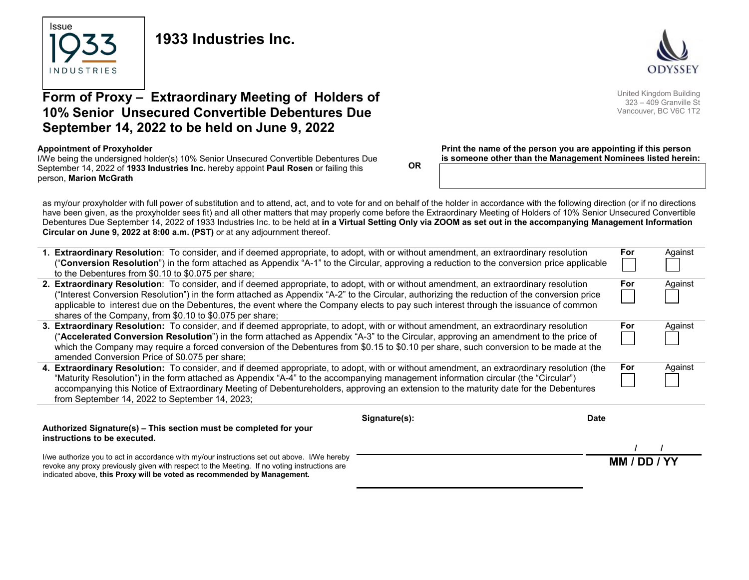

**1933 Industries Inc.**



# **Form of Proxy – Extraordinary Meeting of Holders of 10% Senior Unsecured Convertible Debentures Due September 14, 2022 to be held on June 9, 2022**

#### **Appointment of Proxyholder**

I/We being the undersigned holder(s) 10% Senior Unsecured Convertible Debentures Due September 14, 2022 of **1933 Industries Inc.** hereby appoint **Paul Rosen** or failing this person, **Marion McGrath**

**OR**

#### **Print the name of the person you are appointing if this person is someone other than the Management Nominees listed herein:**

as my/our proxyholder with full power of substitution and to attend, act, and to vote for and on behalf of the holder in accordance with the following direction (or if no directions have been given, as the proxyholder sees fit) and all other matters that may properly come before the Extraordinary Meeting of Holders of 10% Senior Unsecured Convertible Debentures Due September 14, 2022 of 1933 Industries Inc. to be held at **in a Virtual Setting Only via ZOOM as set out in the accompanying Management Information Circular on June 9, 2022 at 8:00 a.m. (PST)** or at any adjournment thereof.

|                                                                   | 1. Extraordinary Resolution: To consider, and if deemed appropriate, to adopt, with or without amendment, an extraordinary resolution<br>"Conversion Resolution") in the form attached as Appendix "A-1" to the Circular, approving a reduction to the conversion price applicable |             | For     | Against |
|-------------------------------------------------------------------|------------------------------------------------------------------------------------------------------------------------------------------------------------------------------------------------------------------------------------------------------------------------------------|-------------|---------|---------|
|                                                                   | to the Debentures from \$0.10 to \$0.075 per share;                                                                                                                                                                                                                                |             |         |         |
|                                                                   | 2. Extraordinary Resolution: To consider, and if deemed appropriate, to adopt, with or without amendment, an extraordinary resolution                                                                                                                                              |             | For     | Against |
|                                                                   | ("Interest Conversion Resolution") in the form attached as Appendix "A-2" to the Circular, authorizing the reduction of the conversion price                                                                                                                                       |             |         |         |
|                                                                   | applicable to interest due on the Debentures, the event where the Company elects to pay such interest through the issuance of common                                                                                                                                               |             |         |         |
|                                                                   | shares of the Company, from \$0.10 to \$0.075 per share;<br>3. Extraordinary Resolution: To consider, and if deemed appropriate, to adopt, with or without amendment, an extraordinary resolution                                                                                  |             | For     | Against |
|                                                                   | (" <b>Accelerated Conversion Resolution</b> ") in the form attached as Appendix "A-3" to the Circular, approving an amendment to the price of                                                                                                                                      |             |         |         |
|                                                                   | which the Company may require a forced conversion of the Debentures from \$0.15 to \$0.10 per share, such conversion to be made at the                                                                                                                                             |             |         |         |
|                                                                   | amended Conversion Price of \$0.075 per share;                                                                                                                                                                                                                                     |             |         |         |
|                                                                   | 4. Extraordinary Resolution: To consider, and if deemed appropriate, to adopt, with or without amendment, an extraordinary resolution (the                                                                                                                                         |             | For     | Against |
|                                                                   | "Maturity Resolution") in the form attached as Appendix "A-4" to the accompanying management information circular (the "Circular")                                                                                                                                                 |             |         |         |
|                                                                   | accompanying this Notice of Extraordinary Meeting of Debentureholders, approving an extension to the maturity date for the Debentures<br>from September 14, 2022 to September 14, 2023;                                                                                            |             |         |         |
|                                                                   |                                                                                                                                                                                                                                                                                    |             |         |         |
|                                                                   | Signature(s):                                                                                                                                                                                                                                                                      | <b>Date</b> |         |         |
| Authorized Signature(s) – This section must be completed for your |                                                                                                                                                                                                                                                                                    |             |         |         |
|                                                                   | instructions to be executed.                                                                                                                                                                                                                                                       |             |         |         |
|                                                                   | I/we authorize you to act in accordance with my/our instructions set out above. I/We hereby                                                                                                                                                                                        |             |         |         |
|                                                                   | revoke any proxy previously given with respect to the Meeting. If no voting instructions are                                                                                                                                                                                       |             | MM / DD |         |
|                                                                   | indicated above, this Proxy will be voted as recommended by Management.                                                                                                                                                                                                            |             |         |         |

United Kingdom Building 323 – 409 Granville St Vancouver, BC V6C 1T2